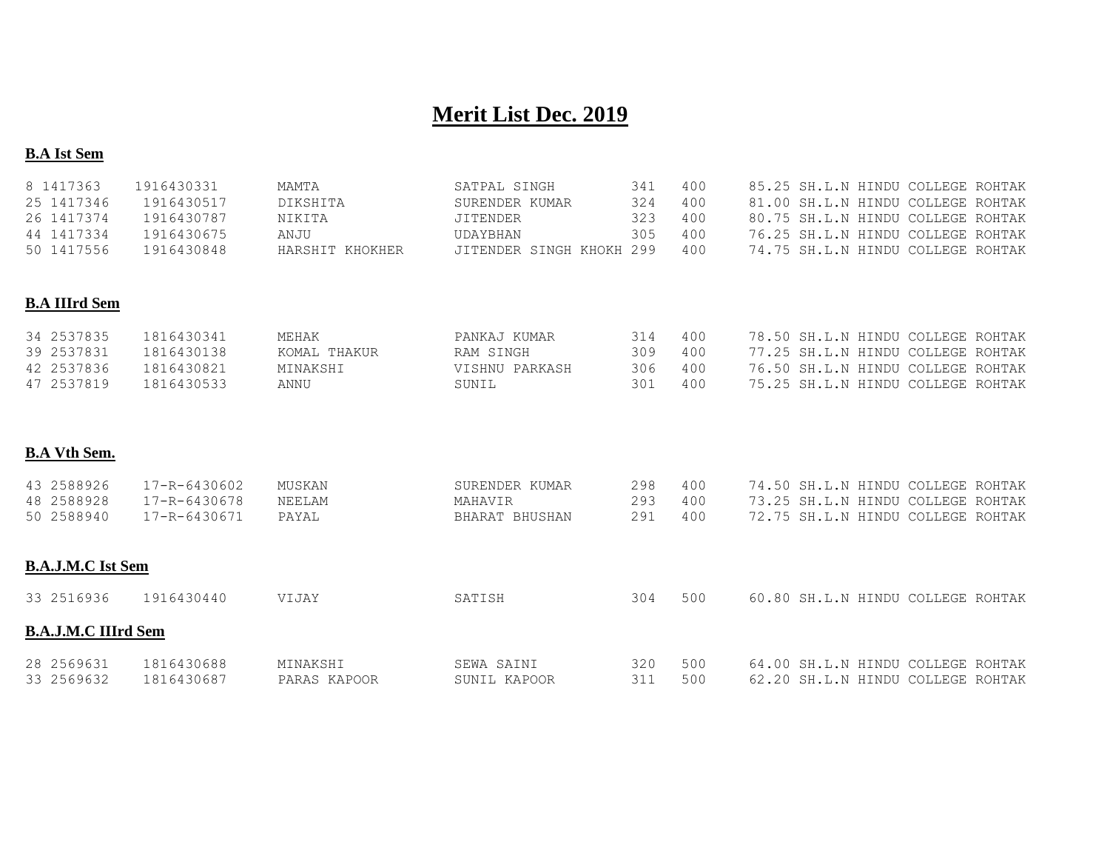# **Merit List Dec. 2019**

#### **B.A Ist Sem**

| 8 1417363                  | 1916430331   | MAMTA           | SATPAL SINGH             | 341 | 400 | 85.25 SH.L.N HINDU COLLEGE ROHTAK |  |
|----------------------------|--------------|-----------------|--------------------------|-----|-----|-----------------------------------|--|
| 25 1417346                 | 1916430517   | DIKSHITA        | SURENDER KUMAR           | 324 | 400 | 81.00 SH.L.N HINDU COLLEGE ROHTAK |  |
| 26 1417374                 | 1916430787   | NIKITA          | <b>JITENDER</b>          | 323 | 400 | 80.75 SH.L.N HINDU COLLEGE ROHTAK |  |
| 44 1417334                 | 1916430675   | ANJU            | UDAYBHAN                 | 305 | 400 | 76.25 SH.L.N HINDU COLLEGE ROHTAK |  |
| 50 1417556                 | 1916430848   | HARSHIT KHOKHER | JITENDER SINGH KHOKH 299 |     | 400 | 74.75 SH.L.N HINDU COLLEGE ROHTAK |  |
|                            |              |                 |                          |     |     |                                   |  |
| <b>B.A IIIrd Sem</b>       |              |                 |                          |     |     |                                   |  |
| 34 2537835                 | 1816430341   | MEHAK           | PANKAJ KUMAR             | 314 | 400 | 78.50 SH.L.N HINDU COLLEGE ROHTAK |  |
| 39 2537831                 | 1816430138   | KOMAL THAKUR    | RAM SINGH                | 309 | 400 | 77.25 SH.L.N HINDU COLLEGE ROHTAK |  |
| 42 2537836                 | 1816430821   | MINAKSHI        | VISHNU PARKASH           | 306 | 400 | 76.50 SH.L.N HINDU COLLEGE ROHTAK |  |
| 47 2537819                 | 1816430533   | ANNU            | SUNIL                    | 301 | 400 | 75.25 SH.L.N HINDU COLLEGE ROHTAK |  |
|                            |              |                 |                          |     |     |                                   |  |
|                            |              |                 |                          |     |     |                                   |  |
| <b>B.A Vth Sem.</b>        |              |                 |                          |     |     |                                   |  |
| 43 2588926                 | 17-R-6430602 | MUSKAN          | SURENDER KUMAR           | 298 | 400 | 74.50 SH.L.N HINDU COLLEGE ROHTAK |  |
| 48 2588928                 | 17-R-6430678 | NEELAM          | MAHAVIR                  | 293 | 400 | 73.25 SH.L.N HINDU COLLEGE ROHTAK |  |
| 50 2588940                 | 17-R-6430671 | PAYAL           | BHARAT BHUSHAN           | 291 | 400 | 72.75 SH.L.N HINDU COLLEGE ROHTAK |  |
|                            |              |                 |                          |     |     |                                   |  |
| <b>B.A.J.M.C Ist Sem</b>   |              |                 |                          |     |     |                                   |  |
| 33 2516936                 | 1916430440   | VIJAY           | SATISH                   | 304 | 500 | 60.80 SH.L.N HINDU COLLEGE ROHTAK |  |
|                            |              |                 |                          |     |     |                                   |  |
| <b>B.A.J.M.C IIIrd Sem</b> |              |                 |                          |     |     |                                   |  |
| 28 2569631                 | 1816430688   | MINAKSHI        | SEWA SAINI               | 320 | 500 | 64.00 SH.L.N HINDU COLLEGE ROHTAK |  |
| 33 2569632                 | 1816430687   | PARAS KAPOOR    | SUNIL KAPOOR             | 311 | 500 | 62.20 SH.L.N HINDU COLLEGE ROHTAK |  |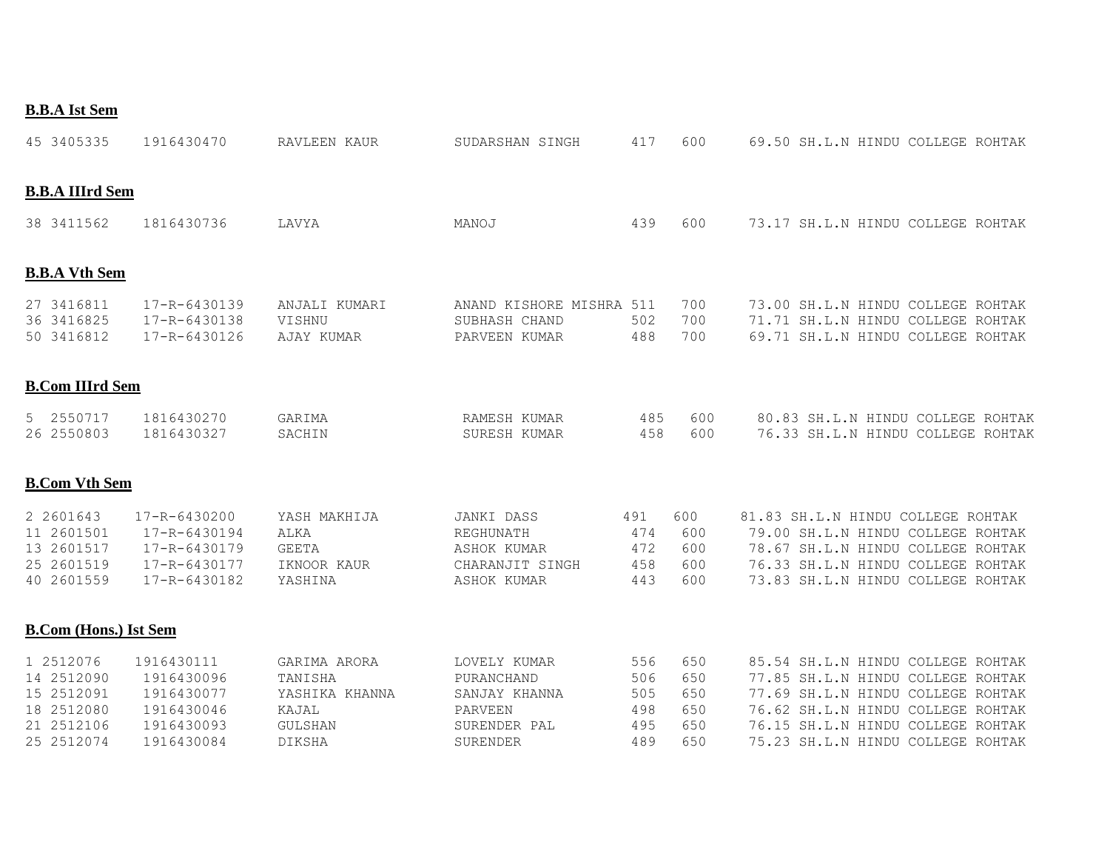|--|

| 45 3405335                                                                      | 1916430470                                                                       | RAVLEEN KAUR                                                                   | SUDARSHAN SINGH                                                                    | 417                                    | 600                                    | 69.50 SH.L.N HINDU COLLEGE ROHTAK                                                                                                                                                                                          |
|---------------------------------------------------------------------------------|----------------------------------------------------------------------------------|--------------------------------------------------------------------------------|------------------------------------------------------------------------------------|----------------------------------------|----------------------------------------|----------------------------------------------------------------------------------------------------------------------------------------------------------------------------------------------------------------------------|
| <b>B.B.A IIIrd Sem</b>                                                          |                                                                                  |                                                                                |                                                                                    |                                        |                                        |                                                                                                                                                                                                                            |
| 38 3411562                                                                      | 1816430736                                                                       | LAVYA                                                                          | MANOJ                                                                              | 439                                    | 600                                    | 73.17 SH.L.N HINDU COLLEGE ROHTAK                                                                                                                                                                                          |
| <b>B.B.A Vth Sem</b>                                                            |                                                                                  |                                                                                |                                                                                    |                                        |                                        |                                                                                                                                                                                                                            |
| 27 3416811<br>36 3416825<br>50 3416812                                          | 17-R-6430139<br>17-R-6430138<br>17-R-6430126                                     | ANJALI KUMARI<br>VISHNU<br>AJAY KUMAR                                          | ANAND KISHORE MISHRA 511<br>SUBHASH CHAND<br>PARVEEN KUMAR                         | 502<br>488                             | 700<br>700<br>700                      | 73.00 SH.L.N HINDU COLLEGE ROHTAK<br>71.71 SH.L.N HINDU COLLEGE ROHTAK<br>69.71 SH.L.N HINDU COLLEGE ROHTAK                                                                                                                |
| <b>B.Com IIIrd Sem</b>                                                          |                                                                                  |                                                                                |                                                                                    |                                        |                                        |                                                                                                                                                                                                                            |
| 5 2550717<br>26 2550803                                                         | 1816430270<br>1816430327                                                         | GARIMA<br>SACHIN                                                               | RAMESH KUMAR<br>SURESH KUMAR                                                       | 485<br>458                             | 600<br>600                             | 80.83 SH.L.N HINDU COLLEGE ROHTAK<br>76.33 SH.L.N HINDU COLLEGE ROHTAK                                                                                                                                                     |
| <b>B.Com Vth Sem</b>                                                            |                                                                                  |                                                                                |                                                                                    |                                        |                                        |                                                                                                                                                                                                                            |
| 2 2601643<br>11 2601501<br>13 2601517<br>25 2601519<br>40 2601559               | 17-R-6430200<br>17-R-6430194<br>17-R-6430179<br>17-R-6430177<br>17-R-6430182     | YASH MAKHIJA<br>ALKA<br><b>GEETA</b><br>IKNOOR KAUR<br>YASHINA                 | JANKI DASS<br>REGHUNATH<br><b>ASHOK KUMAR</b><br>CHARANJIT SINGH<br>ASHOK KUMAR    | 491<br>474<br>472<br>458<br>443        | 600<br>600<br>600<br>600<br>600        | 81.83 SH.L.N HINDU COLLEGE ROHTAK<br>79.00 SH.L.N HINDU COLLEGE ROHTAK<br>78.67 SH.L.N HINDU COLLEGE ROHTAK<br>76.33 SH.L.N HINDU COLLEGE ROHTAK<br>73.83 SH.L.N HINDU COLLEGE ROHTAK                                      |
| <b>B.Com (Hons.) Ist Sem</b>                                                    |                                                                                  |                                                                                |                                                                                    |                                        |                                        |                                                                                                                                                                                                                            |
| 1 2512076<br>14 2512090<br>15 2512091<br>18 2512080<br>21 2512106<br>25 2512074 | 1916430111<br>1916430096<br>1916430077<br>1916430046<br>1916430093<br>1916430084 | GARIMA ARORA<br>TANISHA<br>YASHIKA KHANNA<br>KAJAL<br><b>GULSHAN</b><br>DIKSHA | LOVELY KUMAR<br>PURANCHAND<br>SANJAY KHANNA<br>PARVEEN<br>SURENDER PAL<br>SURENDER | 556<br>506<br>505<br>498<br>495<br>489 | 650<br>650<br>650<br>650<br>650<br>650 | 85.54 SH.L.N HINDU COLLEGE ROHTAK<br>77.85 SH.L.N HINDU COLLEGE ROHTAK<br>77.69 SH.L.N HINDU COLLEGE ROHTAK<br>76.62 SH.L.N HINDU COLLEGE ROHTAK<br>76.15 SH.L.N HINDU COLLEGE ROHTAK<br>75.23 SH.L.N HINDU COLLEGE ROHTAK |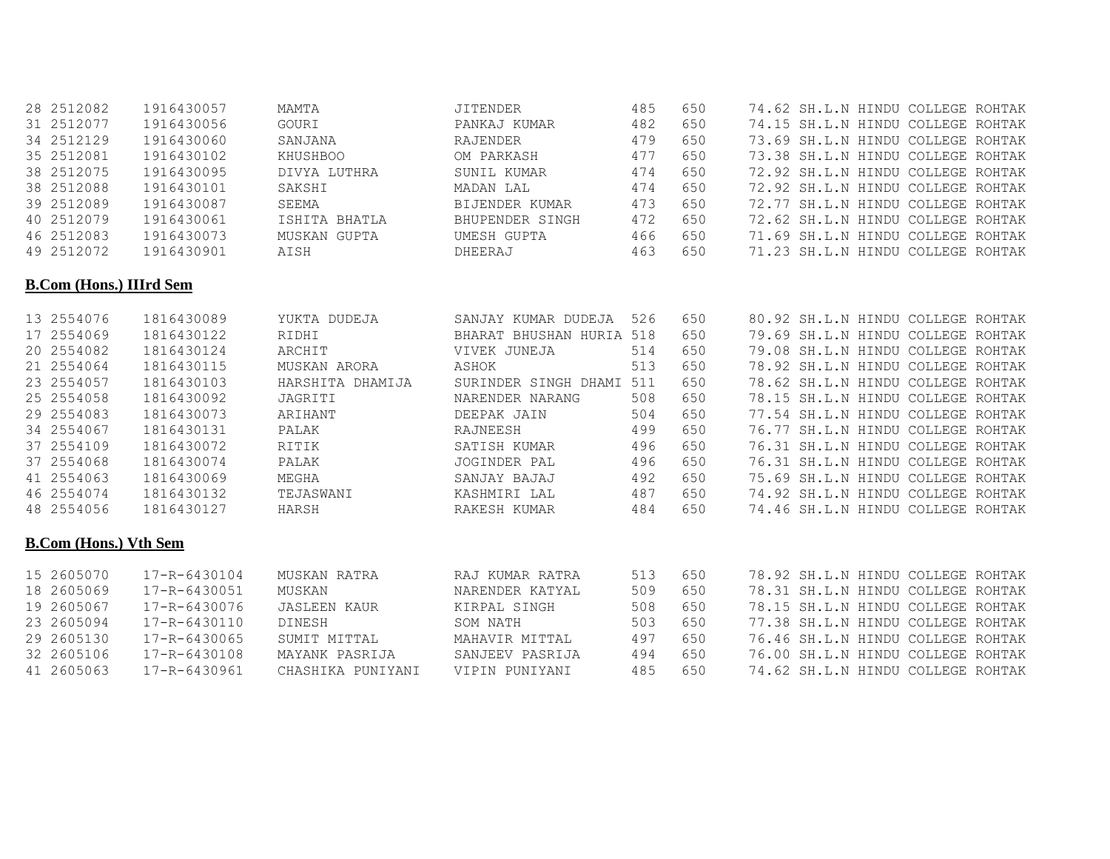| 28 2512082                     |              |                     |                          |     |     |  |                                   |  |
|--------------------------------|--------------|---------------------|--------------------------|-----|-----|--|-----------------------------------|--|
|                                | 1916430057   | MAMTA               | <b>JITENDER</b>          | 485 | 650 |  | 74.62 SH.L.N HINDU COLLEGE ROHTAK |  |
| 31 2512077                     | 1916430056   | GOURI               | PANKAJ KUMAR             | 482 | 650 |  | 74.15 SH.L.N HINDU COLLEGE ROHTAK |  |
| 34 2512129                     | 1916430060   | SANJANA             | RAJENDER                 | 479 | 650 |  | 73.69 SH.L.N HINDU COLLEGE ROHTAK |  |
| 35 2512081                     | 1916430102   | KHUSHBOO            | OM PARKASH               | 477 | 650 |  | 73.38 SH.L.N HINDU COLLEGE ROHTAK |  |
| 38 2512075                     | 1916430095   | DIVYA LUTHRA        | SUNIL KUMAR              | 474 | 650 |  | 72.92 SH.L.N HINDU COLLEGE ROHTAK |  |
| 38 2512088                     | 1916430101   | SAKSHI              | MADAN LAL                | 474 | 650 |  | 72.92 SH.L.N HINDU COLLEGE ROHTAK |  |
| 39 2512089                     | 1916430087   | SEEMA               | BIJENDER KUMAR           | 473 | 650 |  | 72.77 SH.L.N HINDU COLLEGE ROHTAK |  |
| 40 2512079                     | 1916430061   | ISHITA BHATLA       | BHUPENDER SINGH          | 472 | 650 |  | 72.62 SH.L.N HINDU COLLEGE ROHTAK |  |
| 46 2512083                     | 1916430073   | MUSKAN GUPTA        | UMESH GUPTA              | 466 | 650 |  | 71.69 SH.L.N HINDU COLLEGE ROHTAK |  |
| 49 2512072                     | 1916430901   | AISH                | DHEERAJ                  | 463 | 650 |  | 71.23 SH.L.N HINDU COLLEGE ROHTAK |  |
| <b>B.Com (Hons.) IIIrd Sem</b> |              |                     |                          |     |     |  |                                   |  |
| 13 2554076                     | 1816430089   | YUKTA DUDEJA        | SANJAY KUMAR DUDEJA 526  |     | 650 |  | 80.92 SH.L.N HINDU COLLEGE ROHTAK |  |
| 17 2554069                     | 1816430122   | RIDHI               | BHARAT BHUSHAN HURIA 518 |     | 650 |  | 79.69 SH.L.N HINDU COLLEGE ROHTAK |  |
| 20 2554082                     | 1816430124   | ARCHIT              | VIVEK JUNEJA             | 514 | 650 |  | 79.08 SH.L.N HINDU COLLEGE ROHTAK |  |
| 21 2554064                     | 1816430115   | MUSKAN ARORA        | ASHOK                    | 513 | 650 |  | 78.92 SH.L.N HINDU COLLEGE ROHTAK |  |
| 23 2554057                     | 1816430103   | HARSHITA DHAMIJA    | SURINDER SINGH DHAMI 511 |     | 650 |  | 78.62 SH.L.N HINDU COLLEGE ROHTAK |  |
| 25 2554058                     | 1816430092   | JAGRITI             | NARENDER NARANG          | 508 | 650 |  | 78.15 SH.L.N HINDU COLLEGE ROHTAK |  |
| 29 2554083                     | 1816430073   | ARIHANT             | DEEPAK JAIN              | 504 | 650 |  | 77.54 SH.L.N HINDU COLLEGE ROHTAK |  |
| 34 2554067                     | 1816430131   | PALAK               | RAJNEESH                 | 499 | 650 |  | 76.77 SH.L.N HINDU COLLEGE ROHTAK |  |
| 37 2554109                     | 1816430072   | RITIK               | SATISH KUMAR             | 496 | 650 |  | 76.31 SH.L.N HINDU COLLEGE ROHTAK |  |
| 37 2554068                     | 1816430074   | PALAK               | JOGINDER PAL             | 496 | 650 |  | 76.31 SH.L.N HINDU COLLEGE ROHTAK |  |
| 41 2554063                     | 1816430069   | MEGHA               | SANJAY BAJAJ             | 492 | 650 |  | 75.69 SH.L.N HINDU COLLEGE ROHTAK |  |
| 46 2554074                     | 1816430132   | TEJASWANI           | KASHMIRI LAL             | 487 | 650 |  | 74.92 SH.L.N HINDU COLLEGE ROHTAK |  |
| 48 2554056                     | 1816430127   | HARSH               | RAKESH KUMAR             | 484 | 650 |  | 74.46 SH.L.N HINDU COLLEGE ROHTAK |  |
| <b>B.Com (Hons.) Vth Sem</b>   |              |                     |                          |     |     |  |                                   |  |
| 15 2605070                     | 17-R-6430104 | MUSKAN RATRA        | RAJ KUMAR RATRA          | 513 | 650 |  | 78.92 SH.L.N HINDU COLLEGE ROHTAK |  |
| 18 2605069                     | 17-R-6430051 | MUSKAN              | NARENDER KATYAL          | 509 | 650 |  | 78.31 SH.L.N HINDU COLLEGE ROHTAK |  |
| 19 2605067                     | 17-R-6430076 | <b>JASLEEN KAUR</b> | KIRPAL SINGH             | 508 | 650 |  | 78.15 SH.L.N HINDU COLLEGE ROHTAK |  |
| 23 2605094                     | 17-R-6430110 | DINESH              | SOM NATH                 | 503 | 650 |  | 77.38 SH.L.N HINDU COLLEGE ROHTAK |  |
| 29 2605130                     | 17-R-6430065 | SUMIT MITTAL        | MAHAVIR MITTAL           | 497 | 650 |  | 76.46 SH.L.N HINDU COLLEGE ROHTAK |  |
| 32 2605106                     | 17-R-6430108 | MAYANK PASRIJA      | SANJEEV PASRIJA          | 494 | 650 |  | 76.00 SH.L.N HINDU COLLEGE ROHTAK |  |
| 41 2605063                     | 17-R-6430961 | CHASHIKA PUNIYANI   | VIPIN PUNIYANI           | 485 | 650 |  | 74.62 SH.L.N HINDU COLLEGE ROHTAK |  |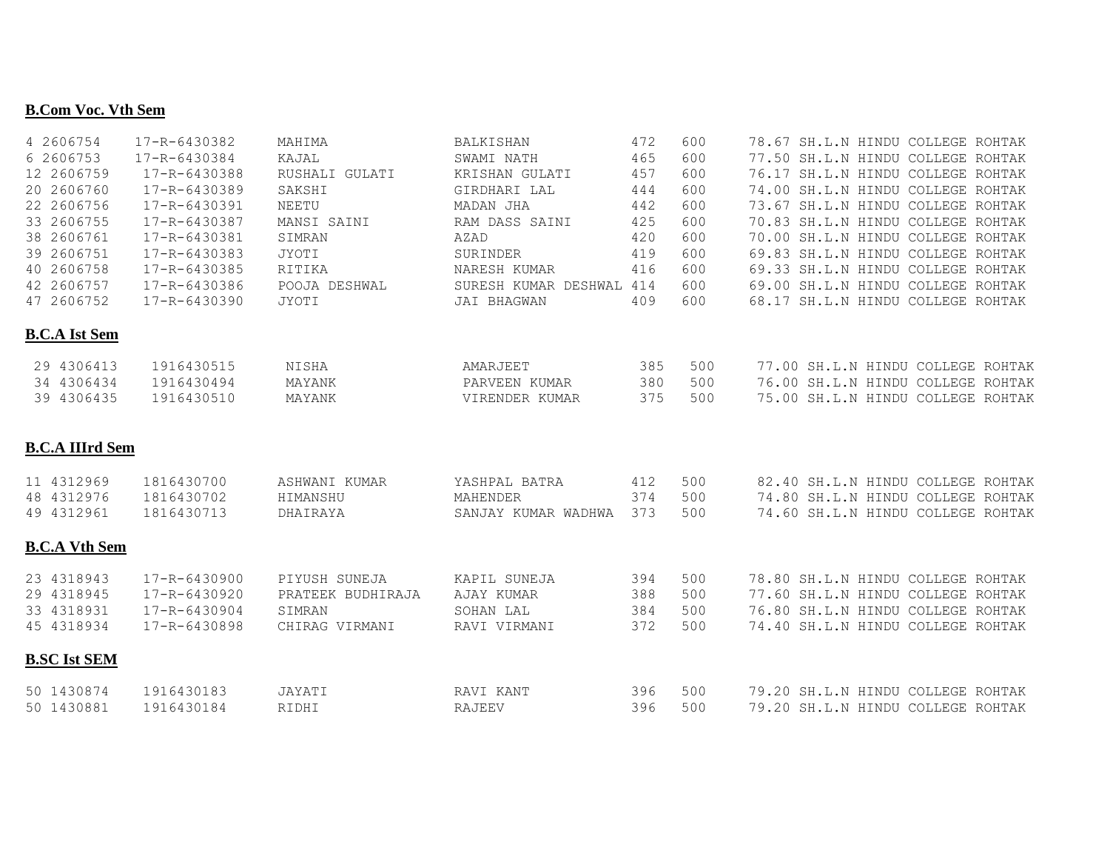#### **B.Com Voc. Vth Sem**

| 4 2606754              | 17-R-6430382 | MAHIMA            | <b>BALKISHAN</b>         | 472 | 600 | 78.67 SH.L.N HINDU COLLEGE ROHTAK |
|------------------------|--------------|-------------------|--------------------------|-----|-----|-----------------------------------|
| 6 2606753              | 17-R-6430384 | KAJAL             | SWAMI NATH               | 465 | 600 | 77.50 SH.L.N HINDU COLLEGE ROHTAK |
| 12 2606759             | 17-R-6430388 | RUSHALI GULATI    | KRISHAN GULATI           | 457 | 600 | 76.17 SH.L.N HINDU COLLEGE ROHTAK |
| 20 2606760             | 17-R-6430389 | SAKSHI            | GIRDHARI LAL             | 444 | 600 | 74.00 SH.L.N HINDU COLLEGE ROHTAK |
| 22 2606756             | 17-R-6430391 | NEETU             | MADAN JHA                | 442 | 600 | 73.67 SH.L.N HINDU COLLEGE ROHTAK |
| 33 2606755             | 17-R-6430387 | MANSI SAINI       | RAM DASS SAINI           | 425 | 600 | 70.83 SH.L.N HINDU COLLEGE ROHTAK |
| 38 2606761             | 17-R-6430381 | SIMRAN            | AZAD                     | 420 | 600 | 70.00 SH.L.N HINDU COLLEGE ROHTAK |
| 39 2606751             | 17-R-6430383 | JYOTI             | SURINDER                 | 419 | 600 | 69.83 SH.L.N HINDU COLLEGE ROHTAK |
| 40 2606758             | 17-R-6430385 | RITIKA            | NARESH KUMAR             | 416 | 600 | 69.33 SH.L.N HINDU COLLEGE ROHTAK |
| 42 2606757             | 17-R-6430386 | POOJA DESHWAL     | SURESH KUMAR DESHWAL 414 |     | 600 | 69.00 SH.L.N HINDU COLLEGE ROHTAK |
| 47 2606752             | 17-R-6430390 | JYOTI             | JAI BHAGWAN              | 409 | 600 | 68.17 SH.L.N HINDU COLLEGE ROHTAK |
| <b>B.C.A Ist Sem</b>   |              |                   |                          |     |     |                                   |
| 29 4306413             | 1916430515   | NISHA             | AMARJEET                 | 385 | 500 | 77.00 SH.L.N HINDU COLLEGE ROHTAK |
| 34 4306434             | 1916430494   | MAYANK            | PARVEEN KUMAR            | 380 | 500 | 76.00 SH.L.N HINDU COLLEGE ROHTAK |
| 39 4306435             | 1916430510   | MAYANK            | VIRENDER KUMAR           | 375 | 500 | 75.00 SH.L.N HINDU COLLEGE ROHTAK |
| <b>B.C.A IIIrd Sem</b> |              |                   |                          |     |     |                                   |
| 11 4312969             | 1816430700   | ASHWANI KUMAR     | YASHPAL BATRA            | 412 | 500 | 82.40 SH.L.N HINDU COLLEGE ROHTAK |
| 48 4312976             | 1816430702   | HIMANSHU          | MAHENDER                 | 374 | 500 | 74.80 SH.L.N HINDU COLLEGE ROHTAK |
| 49 4312961             | 1816430713   | DHAIRAYA          | SANJAY KUMAR WADHWA      | 373 | 500 | 74.60 SH.L.N HINDU COLLEGE ROHTAK |
| <b>B.C.A Vth Sem</b>   |              |                   |                          |     |     |                                   |
| 23 4318943             | 17-R-6430900 | PIYUSH SUNEJA     | KAPIL SUNEJA             | 394 | 500 | 78.80 SH.L.N HINDU COLLEGE ROHTAK |
| 29 4318945             | 17-R-6430920 | PRATEEK BUDHIRAJA | AJAY KUMAR               | 388 | 500 | 77.60 SH.L.N HINDU COLLEGE ROHTAK |
| 33 4318931             | 17-R-6430904 | SIMRAN            | SOHAN LAL                | 384 | 500 | 76.80 SH.L.N HINDU COLLEGE ROHTAK |
| 45 4318934             | 17-R-6430898 | CHIRAG VIRMANI    | RAVI VIRMANI             | 372 | 500 | 74.40 SH.L.N HINDU COLLEGE ROHTAK |
| <b>B.SC Ist SEM</b>    |              |                   |                          |     |     |                                   |
| 50 1430874             | 1916430183   | JAYATI            | RAVI KANT                | 396 | 500 | 79.20 SH.L.N HINDU COLLEGE ROHTAK |
| 50 1430881             | 1916430184   | RIDHI             | RAJEEV                   | 396 | 500 | 79.20 SH.L.N HINDU COLLEGE ROHTAK |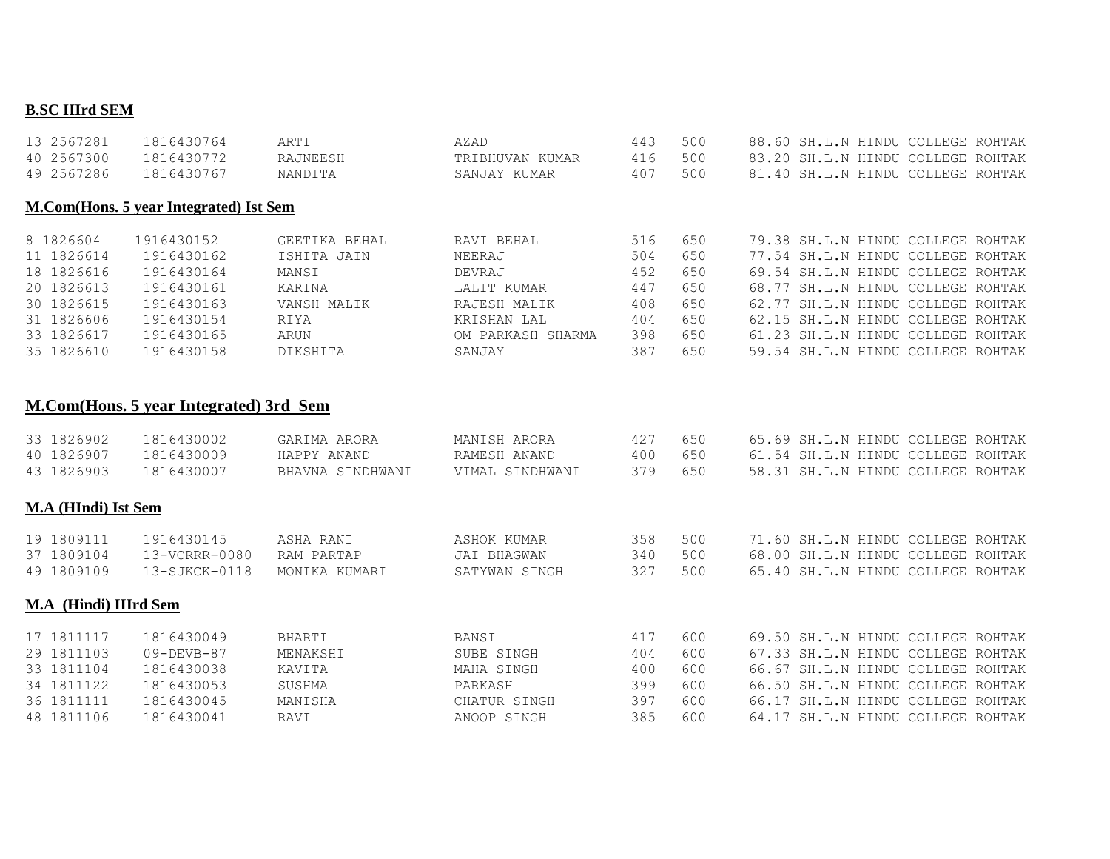### **B.SC IIIrd SEM**

| 13 2567281 | 1816430764                             | ARTI          | AZAD              | 443 | 500 | 88.60 SH.L.N HINDU COLLEGE ROHTAK |
|------------|----------------------------------------|---------------|-------------------|-----|-----|-----------------------------------|
| 40 2567300 | 1816430772                             | RAJNEESH      | TRIBHUVAN KUMAR   | 416 | 500 | 83.20 SH.L.N HINDU COLLEGE ROHTAK |
| 49 2567286 | 1816430767                             | NANDITA       | SANJAY KUMAR      | 407 | 500 | 81.40 SH.L.N HINDU COLLEGE ROHTAK |
|            | M.Com(Hons. 5 year Integrated) Ist Sem |               |                   |     |     |                                   |
| 8 1826604  | 1916430152                             | GEETIKA BEHAL | RAVI BEHAL        | 516 | 650 | 79.38 SH.L.N HINDU COLLEGE ROHTAK |
| 11 1826614 | 1916430162                             | ISHITA JAIN   | NEERAJ            | 504 | 650 | 77.54 SH.L.N HINDU COLLEGE ROHTAK |
| 18 1826616 | 1916430164                             | MANSI         | DEVRAJ            | 452 | 650 | 69.54 SH.L.N HINDU COLLEGE ROHTAK |
| 20 1826613 | 1916430161                             | KARINA        | LALIT KUMAR       | 447 | 650 | 68.77 SH.L.N HINDU COLLEGE ROHTAK |
| 30 1826615 | 1916430163                             | VANSH MALIK   | RAJESH MALIK      | 408 | 650 | 62.77 SH.L.N HINDU COLLEGE ROHTAK |
| 31 1826606 | 1916430154                             | RIYA          | KRISHAN LAL       | 404 | 650 | 62.15 SH.L.N HINDU COLLEGE ROHTAK |
| 33 1826617 | 1916430165                             | ARUN          | OM PARKASH SHARMA | 398 | 650 | 61.23 SH.L.N HINDU COLLEGE ROHTAK |
| 35 1826610 | 1916430158                             | DIKSHITA      | SANJAY            | 387 | 650 | 59.54 SH.L.N HINDU COLLEGE ROHTAK |
|            |                                        |               |                   |     |     |                                   |

### **M.Com(Hons. 5 year Integrated) 3rd Sem**

| 33 1826902<br>40 1826907<br>43 1826903                                           | 1816430002<br>1816430009<br>1816430007                                                 | GARIMA ARORA<br>HAPPY ANAND<br>BHAVNA SINDHWANI                  | MANISH ARORA<br>RAMESH ANAND<br>VIMAL SINDHWANI                             | 427<br>400<br>379                      | 650<br>650<br>650                      |  | 65.69 SH.L.N HINDU COLLEGE ROHTAK<br>61.54 SH.L.N HINDU COLLEGE ROHTAK<br>58.31 SH.L.N HINDU COLLEGE ROHTAK                                                                                                                |  |
|----------------------------------------------------------------------------------|----------------------------------------------------------------------------------------|------------------------------------------------------------------|-----------------------------------------------------------------------------|----------------------------------------|----------------------------------------|--|----------------------------------------------------------------------------------------------------------------------------------------------------------------------------------------------------------------------------|--|
| M.A (HIndi) Ist Sem                                                              |                                                                                        |                                                                  |                                                                             |                                        |                                        |  |                                                                                                                                                                                                                            |  |
| 19 1809111<br>37 1809104<br>49 1809109                                           | 1916430145<br>13-VCRRR-0080<br>$13 - SJKCK - 0118$                                     | ASHA RANI<br>RAM PARTAP<br>MONIKA KUMARI                         | ASHOK KUMAR<br>JAI BHAGWAN<br>SATYWAN SINGH                                 | 358<br>340<br>327                      | 500<br>500<br>500                      |  | 71.60 SH.L.N HINDU COLLEGE ROHTAK<br>68.00 SH.L.N HINDU COLLEGE ROHTAK<br>65.40 SH.L.N HINDU COLLEGE ROHTAK                                                                                                                |  |
| M.A (Hindi) IIIrd Sem                                                            |                                                                                        |                                                                  |                                                                             |                                        |                                        |  |                                                                                                                                                                                                                            |  |
| 17 1811117<br>29 1811103<br>33 1811104<br>34 1811122<br>36 1811111<br>48 1811106 | 1816430049<br>$09 - DEVB - 87$<br>1816430038<br>1816430053<br>1816430045<br>1816430041 | <b>BHARTI</b><br>MENAKSHI<br>KAVITA<br>SUSHMA<br>MANISHA<br>RAVI | BANSI<br>SUBE SINGH<br>MAHA SINGH<br>PARKASH<br>CHATUR SINGH<br>ANOOP SINGH | 417<br>404<br>400<br>399<br>397<br>385 | 600<br>600<br>600<br>600<br>600<br>600 |  | 69.50 SH.L.N HINDU COLLEGE ROHTAK<br>67.33 SH.L.N HINDU COLLEGE ROHTAK<br>66.67 SH.L.N HINDU COLLEGE ROHTAK<br>66.50 SH.L.N HINDU COLLEGE ROHTAK<br>66.17 SH.L.N HINDU COLLEGE ROHTAK<br>64.17 SH.L.N HINDU COLLEGE ROHTAK |  |